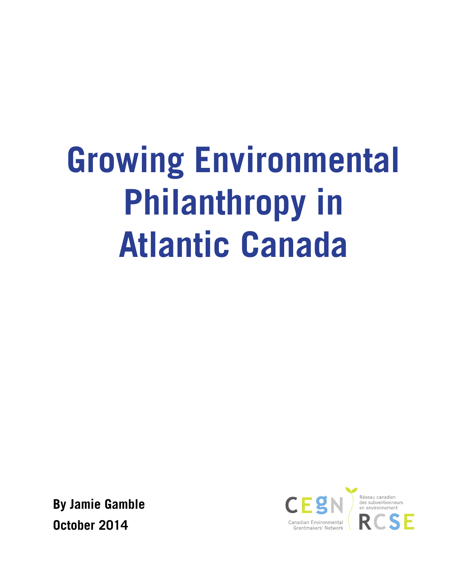# **Growing Environmental Philanthropy in Atlantic Canada**

**By Jamie Gamble October 2014**

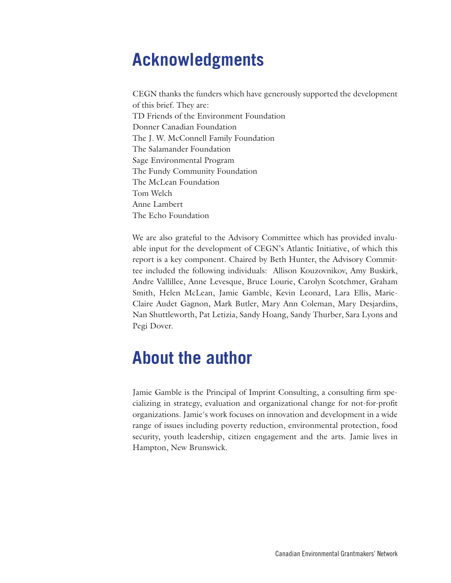#### **Acknowledgments**

CEGN thanks the funders which have generously supported the development of this brief. They are: TD Friends of the Environment Foundation Donner Canadian Foundation The J. W. McConnell Family Foundation The Salamander Foundation Sage Environmental Program The Fundy Community Foundation The McLean Foundation Tom Welch Anne Lambert The Echo Foundation

We are also grateful to the Advisory Committee which has provided invaluable input for the development of CEGN's Atlantic Initiative, of which this report is a key component. Chaired by Beth Hunter, the Advisory Committee included the following individuals: Allison Kouzovnikov, Amy Buskirk, Andre Vallillee, Anne Levesque, Bruce Lourie, Carolyn Scotchmer, Graham Smith, Helen McLean, Jamie Gamble, Kevin Leonard, Lara Ellis, Marie-Claire Audet Gagnon, Mark Butler, Mary Ann Coleman, Mary Desjardins, Nan Shuttleworth, Pat Letizia, Sandy Hoang, Sandy Thurber, Sara Lyons and Pegi Dover.

#### **About the author**

Jamie Gamble is the Principal of Imprint Consulting, a consulting firm specializing in strategy, evaluation and organizational change for not-for-profit organizations. Jamie's work focuses on innovation and development in a wide range of issues including poverty reduction, environmental protection, food security, youth leadership, citizen engagement and the arts. Jamie lives in Hampton, New Brunswick.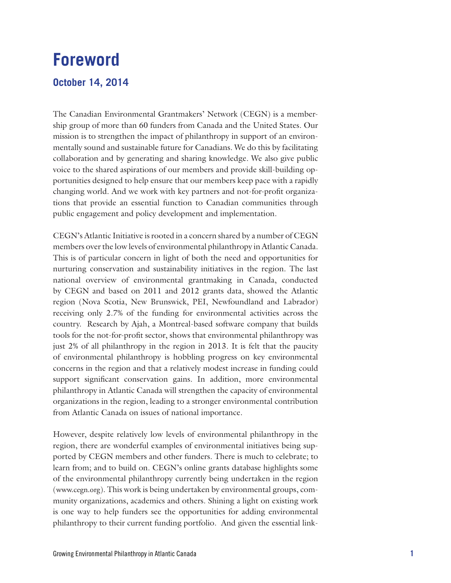#### **Foreword**

#### **October 14, 2014**

The Canadian Environmental Grantmakers' Network (CEGN) is a membership group of more than 60 funders from Canada and the United States. Our mission is to strengthen the impact of philanthropy in support of an environmentally sound and sustainable future for Canadians. We do this by facilitating collaboration and by generating and sharing knowledge. We also give public voice to the shared aspirations of our members and provide skill-building opportunities designed to help ensure that our members keep pace with a rapidly changing world. And we work with key partners and not-for-profit organizations that provide an essential function to Canadian communities through public engagement and policy development and implementation.

CEGN's Atlantic Initiative is rooted in a concern shared by a number of CEGN members over the low levels of environmental philanthropy in Atlantic Canada. This is of particular concern in light of both the need and opportunities for nurturing conservation and sustainability initiatives in the region. The last national overview of environmental grantmaking in Canada, conducted by CEGN and based on 2011 and 2012 grants data, showed the Atlantic region (Nova Scotia, New Brunswick, PEI, Newfoundland and Labrador) receiving only 2.7% of the funding for environmental activities across the country. Research by Ajah, a Montreal-based software company that builds tools for the not-for-profit sector, shows that environmental philanthropy was just 2% of all philanthropy in the region in 2013. It is felt that the paucity of environmental philanthropy is hobbling progress on key environmental concerns in the region and that a relatively modest increase in funding could support significant conservation gains. In addition, more environmental philanthropy in Atlantic Canada will strengthen the capacity of environmental organizations in the region, leading to a stronger environmental contribution from Atlantic Canada on issues of national importance.

However, despite relatively low levels of environmental philanthropy in the region, there are wonderful examples of environmental initiatives being supported by CEGN members and other funders. There is much to celebrate; to learn from; and to build on. CEGN's online grants database highlights some of the environmental philanthropy currently being undertaken in the region (www.cegn.org). This work is being undertaken by environmental groups, community organizations, academics and others. Shining a light on existing work is one way to help funders see the opportunities for adding environmental philanthropy to their current funding portfolio. And given the essential link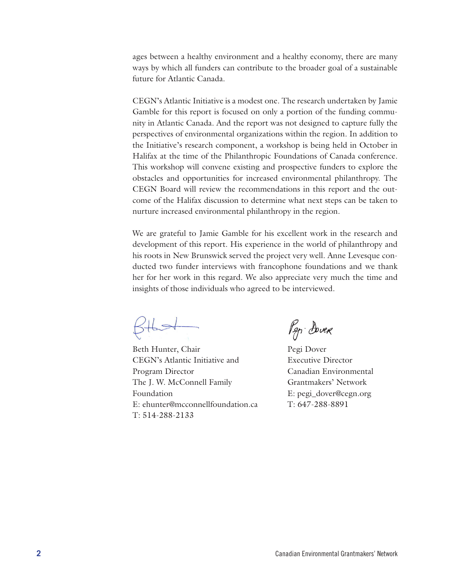ages between a healthy environment and a healthy economy, there are many ways by which all funders can contribute to the broader goal of a sustainable future for Atlantic Canada.

CEGN's Atlantic Initiative is a modest one. The research undertaken by Jamie Gamble for this report is focused on only a portion of the funding community in Atlantic Canada. And the report was not designed to capture fully the perspectives of environmental organizations within the region. In addition to the Initiative's research component, a workshop is being held in October in Halifax at the time of the Philanthropic Foundations of Canada conference. This workshop will convene existing and prospective funders to explore the obstacles and opportunities for increased environmental philanthropy. The CEGN Board will review the recommendations in this report and the outcome of the Halifax discussion to determine what next steps can be taken to nurture increased environmental philanthropy in the region.

We are grateful to Jamie Gamble for his excellent work in the research and development of this report. His experience in the world of philanthropy and his roots in New Brunswick served the project very well. Anne Levesque conducted two funder interviews with francophone foundations and we thank her for her work in this regard. We also appreciate very much the time and insights of those individuals who agreed to be interviewed.

Beth Hunter, Chair CEGN's Atlantic Initiative and Program Director The J. W. McConnell Family Foundation E: ehunter@mcconnellfoundation.ca T: 514-288-2133

Pep Dover

Pegi Dover Executive Director Canadian Environmental Grantmakers' Network E: pegi\_dover@cegn.org T: 647-288-8891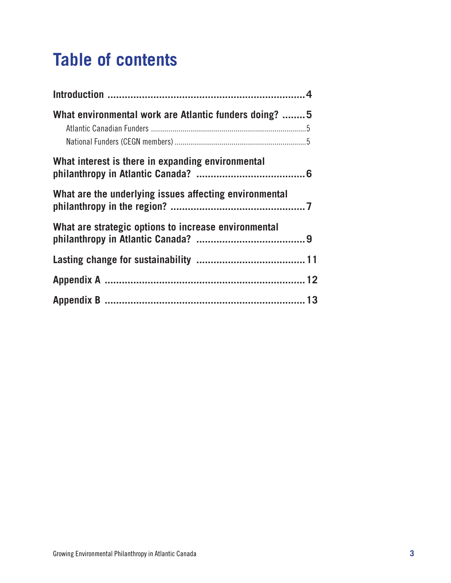# **Table of contents**

| What environmental work are Atlantic funders doing? 5  |  |
|--------------------------------------------------------|--|
| What interest is there in expanding environmental      |  |
| What are the underlying issues affecting environmental |  |
| What are strategic options to increase environmental   |  |
|                                                        |  |
|                                                        |  |
|                                                        |  |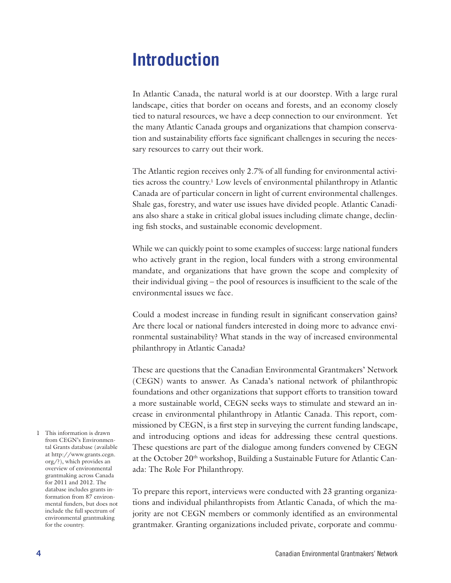#### **Introduction**

In Atlantic Canada, the natural world is at our doorstep. With a large rural landscape, cities that border on oceans and forests, and an economy closely tied to natural resources, we have a deep connection to our environment. Yet the many Atlantic Canada groups and organizations that champion conservation and sustainability efforts face significant challenges in securing the necessary resources to carry out their work.

The Atlantic region receives only 2.7% of all funding for environmental activities across the country.<sup>1</sup> Low levels of environmental philanthropy in Atlantic Canada are of particular concern in light of current environmental challenges. Shale gas, forestry, and water use issues have divided people. Atlantic Canadians also share a stake in critical global issues including climate change, declining fish stocks, and sustainable economic development.

While we can quickly point to some examples of success: large national funders who actively grant in the region, local funders with a strong environmental mandate, and organizations that have grown the scope and complexity of their individual giving – the pool of resources is insufficient to the scale of the environmental issues we face.

Could a modest increase in funding result in significant conservation gains? Are there local or national funders interested in doing more to advance environmental sustainability? What stands in the way of increased environmental philanthropy in Atlantic Canada?

These are questions that the Canadian Environmental Grantmakers' Network (CEGN) wants to answer. As Canada's national network of philanthropic foundations and other organizations that support efforts to transition toward a more sustainable world, CEGN seeks ways to stimulate and steward an increase in environmental philanthropy in Atlantic Canada. This report, commissioned by CEGN, is a first step in surveying the current funding landscape, and introducing options and ideas for addressing these central questions. These questions are part of the dialogue among funders convened by CEGN at the October 20<sup>th</sup> workshop, Building a Sustainable Future for Atlantic Canada: The Role For Philanthropy.

To prepare this report, interviews were conducted with 23 granting organizations and individual philanthropists from Atlantic Canada, of which the majority are not CEGN members or commonly identified as an environmental grantmaker. Granting organizations included private, corporate and commu-

1 This information is drawn from CEGN's Environmental Grants database (available at http://www.grants.cegn. org/?), which provides an overview of environmental grantmaking across Canada for 2011 and 2012. The database includes grants information from 87 environmental funders, but does not include the full spectrum of environmental grantmaking for the country.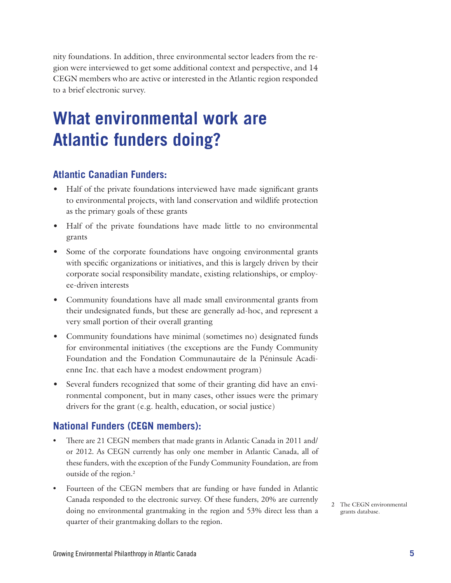nity foundations. In addition, three environmental sector leaders from the region were interviewed to get some additional context and perspective, and 14 CEGN members who are active or interested in the Atlantic region responded to a brief electronic survey.

### **What environmental work are Atlantic funders doing?**

#### **Atlantic Canadian Funders:**

- Half of the private foundations interviewed have made significant grants to environmental projects, with land conservation and wildlife protection as the primary goals of these grants
- Half of the private foundations have made little to no environmental grants
- Some of the corporate foundations have ongoing environmental grants with specific organizations or initiatives, and this is largely driven by their corporate social responsibility mandate, existing relationships, or employee-driven interests
- • Community foundations have all made small environmental grants from their undesignated funds, but these are generally ad-hoc, and represent a very small portion of their overall granting
- Community foundations have minimal (sometimes no) designated funds for environmental initiatives (the exceptions are the Fundy Community Foundation and the Fondation Communautaire de la Péninsule Acadienne Inc. that each have a modest endowment program)
- Several funders recognized that some of their granting did have an environmental component, but in many cases, other issues were the primary drivers for the grant (e.g. health, education, or social justice)

#### **National Funders (CEGN members):**

- There are 21 CEGN members that made grants in Atlantic Canada in 2011 and/ or 2012. As CEGN currently has only one member in Atlantic Canada, all of these funders, with the exception of the Fundy Community Foundation, are from outside of the region.<sup>2</sup>
- Fourteen of the CEGN members that are funding or have funded in Atlantic Canada responded to the electronic survey. Of these funders, 20% are currently doing no environmental grantmaking in the region and 53% direct less than a quarter of their grantmaking dollars to the region.
- 2 The CEGN environmental grants database.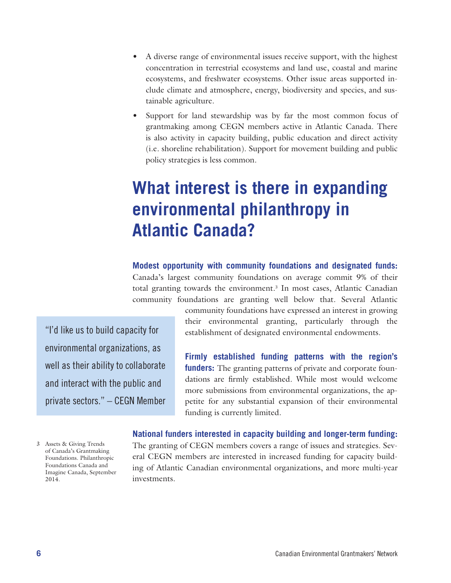- A diverse range of environmental issues receive support, with the highest concentration in terrestrial ecosystems and land use, coastal and marine ecosystems, and freshwater ecosystems. Other issue areas supported include climate and atmosphere, energy, biodiversity and species, and sustainable agriculture.
- Support for land stewardship was by far the most common focus of grantmaking among CEGN members active in Atlantic Canada. There is also activity in capacity building, public education and direct activity (i.e. shoreline rehabilitation). Support for movement building and public policy strategies is less common.

## **What interest is there in expanding environmental philanthropy in Atlantic Canada?**

**Modest opportunity with community foundations and designated funds:** Canada's largest community foundations on average commit 9% of their total granting towards the environment.<sup>3</sup> In most cases, Atlantic Canadian community foundations are granting well below that. Several Atlantic

"I'd like us to build capacity for environmental organizations, as well as their ability to collaborate and interact with the public and private sectors." – CEGN Member community foundations have expressed an interest in growing their environmental granting, particularly through the establishment of designated environmental endowments.

**Firmly established funding patterns with the region's funders:** The granting patterns of private and corporate foundations are firmly established. While most would welcome more submissions from environmental organizations, the appetite for any substantial expansion of their environmental funding is currently limited.

3 Assets & Giving Trends of Canada's Grantmaking Foundations. Philanthropic Foundations Canada and Imagine Canada, September 2014.

**National funders interested in capacity building and longer-term funding:** The granting of CEGN members covers a range of issues and strategies. Several CEGN members are interested in increased funding for capacity building of Atlantic Canadian environmental organizations, and more multi-year investments.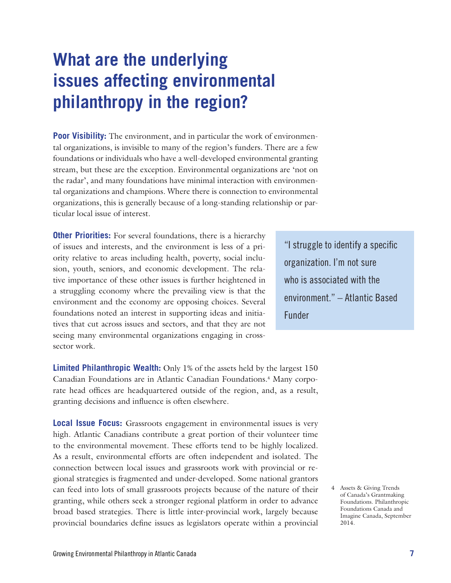### **What are the underlying issues affecting environmental philanthropy in the region?**

**Poor Visibility:** The environment, and in particular the work of environmental organizations, is invisible to many of the region's funders. There are a few foundations or individuals who have a well-developed environmental granting stream, but these are the exception. Environmental organizations are 'not on the radar', and many foundations have minimal interaction with environmental organizations and champions. Where there is connection to environmental organizations, this is generally because of a long-standing relationship or particular local issue of interest.

**Other Priorities:** For several foundations, there is a hierarchy of issues and interests, and the environment is less of a priority relative to areas including health, poverty, social inclusion, youth, seniors, and economic development. The relative importance of these other issues is further heightened in a struggling economy where the prevailing view is that the environment and the economy are opposing choices. Several foundations noted an interest in supporting ideas and initiatives that cut across issues and sectors, and that they are not seeing many environmental organizations engaging in crosssector work.

**Limited Philanthropic Wealth:** Only 1% of the assets held by the largest 150 Canadian Foundations are in Atlantic Canadian Foundations.<sup>4</sup> Many corporate head offices are headquartered outside of the region, and, as a result, granting decisions and influence is often elsewhere.

**Local Issue Focus:** Grassroots engagement in environmental issues is very high. Atlantic Canadians contribute a great portion of their volunteer time to the environmental movement. These efforts tend to be highly localized. As a result, environmental efforts are often independent and isolated. The connection between local issues and grassroots work with provincial or regional strategies is fragmented and under-developed. Some national grantors can feed into lots of small grassroots projects because of the nature of their granting, while others seek a stronger regional platform in order to advance broad based strategies. There is little inter-provincial work, largely because provincial boundaries define issues as legislators operate within a provincial

"I struggle to identify a specific organization. I'm not sure who is associated with the environment." – Atlantic Based Funder

> 4 Assets & Giving Trends of Canada's Grantmaking Foundations. Philanthropic Foundations Canada and Imagine Canada, September 2014.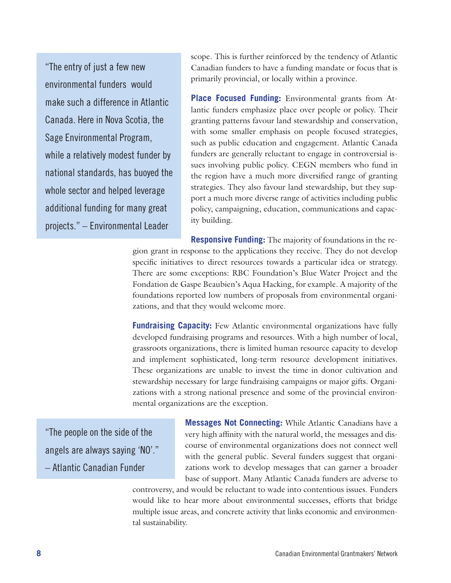"The entry of just a few new environmental funders would make such a difference in Atlantic Canada. Here in Nova Scotia, the Sage Environmental Program, while a relatively modest funder by national standards, has buoyed the whole sector and helped leverage additional funding for many great projects." – Environmental Leader

scope. This is further reinforced by the tendency of Atlantic Canadian funders to have a funding mandate or focus that is primarily provincial, or locally within a province.

**Place Focused Funding:** Environmental grants from Atlantic funders emphasize place over people or policy. Their granting patterns favour land stewardship and conservation, with some smaller emphasis on people focused strategies, such as public education and engagement. Atlantic Canada funders are generally reluctant to engage in controversial issues involving public policy. CEGN members who fund in the region have a much more diversified range of granting strategies. They also favour land stewardship, but they support a much more diverse range of activities including public policy, campaigning, education, communications and capacity building.

**Responsive Funding:** The majority of foundations in the region grant in response to the applications they receive. They do not develop specific initiatives to direct resources towards a particular idea or strategy. There are some exceptions: RBC Foundation's Blue Water Project and the Fondation de Gaspe Beaubien's Aqua Hacking, for example. A majority of the foundations reported low numbers of proposals from environmental organizations, and that they would welcome more.

**Fundraising Capacity:** Few Atlantic environmental organizations have fully developed fundraising programs and resources. With a high number of local, grassroots organizations, there is limited human resource capacity to develop and implement sophisticated, long-term resource development initiatives. These organizations are unable to invest the time in donor cultivation and stewardship necessary for large fundraising campaigns or major gifts. Organizations with a strong national presence and some of the provincial environmental organizations are the exception.

"The people on the side of the angels are always saying 'NO'." – Atlantic Canadian Funder

**Messages Not Connecting:** While Atlantic Canadians have a very high affinity with the natural world, the messages and discourse of environmental organizations does not connect well with the general public. Several funders suggest that organizations work to develop messages that can garner a broader base of support. Many Atlantic Canada funders are adverse to

controversy, and would be reluctant to wade into contentious issues. Funders would like to hear more about environmental successes, efforts that bridge multiple issue areas, and concrete activity that links economic and environmental sustainability.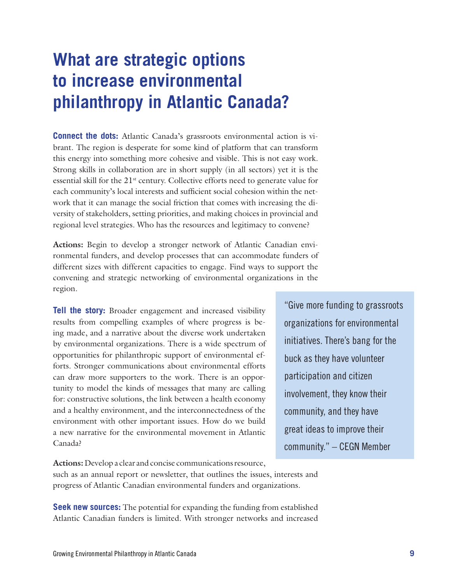## **What are strategic options to increase environmental philanthropy in Atlantic Canada?**

**Connect the dots:** Atlantic Canada's grassroots environmental action is vibrant. The region is desperate for some kind of platform that can transform this energy into something more cohesive and visible. This is not easy work. Strong skills in collaboration are in short supply (in all sectors) yet it is the essential skill for the 21<sup>st</sup> century. Collective efforts need to generate value for each community's local interests and sufficient social cohesion within the network that it can manage the social friction that comes with increasing the diversity of stakeholders, setting priorities, and making choices in provincial and regional level strategies. Who has the resources and legitimacy to convene?

**Actions:** Begin to develop a stronger network of Atlantic Canadian environmental funders, and develop processes that can accommodate funders of different sizes with different capacities to engage. Find ways to support the convening and strategic networking of environmental organizations in the region.

**Tell the story:** Broader engagement and increased visibility results from compelling examples of where progress is being made, and a narrative about the diverse work undertaken by environmental organizations. There is a wide spectrum of opportunities for philanthropic support of environmental efforts. Stronger communications about environmental efforts can draw more supporters to the work. There is an opportunity to model the kinds of messages that many are calling for: constructive solutions, the link between a health economy and a healthy environment, and the interconnectedness of the environment with other important issues. How do we build a new narrative for the environmental movement in Atlantic Canada?

"Give more funding to grassroots organizations for environmental initiatives. There's bang for the buck as they have volunteer participation and citizen involvement, they know their community, and they have great ideas to improve their community." – CEGN Member

**Actions:** Develop a clear and concise communications resource, such as an annual report or newsletter, that outlines the issues, interests and progress of Atlantic Canadian environmental funders and organizations.

**Seek new sources:** The potential for expanding the funding from established Atlantic Canadian funders is limited. With stronger networks and increased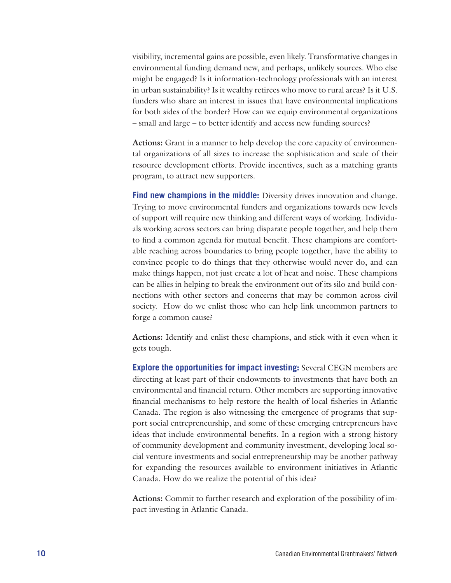visibility, incremental gains are possible, even likely. Transformative changes in environmental funding demand new, and perhaps, unlikely sources. Who else might be engaged? Is it information-technology professionals with an interest in urban sustainability? Is it wealthy retirees who move to rural areas? Is it U.S. funders who share an interest in issues that have environmental implications for both sides of the border? How can we equip environmental organizations – small and large – to better identify and access new funding sources?

**Actions:** Grant in a manner to help develop the core capacity of environmental organizations of all sizes to increase the sophistication and scale of their resource development efforts. Provide incentives, such as a matching grants program, to attract new supporters.

**Find new champions in the middle:** Diversity drives innovation and change. Trying to move environmental funders and organizations towards new levels of support will require new thinking and different ways of working. Individuals working across sectors can bring disparate people together, and help them to find a common agenda for mutual benefit. These champions are comfortable reaching across boundaries to bring people together, have the ability to convince people to do things that they otherwise would never do, and can make things happen, not just create a lot of heat and noise. These champions can be allies in helping to break the environment out of its silo and build connections with other sectors and concerns that may be common across civil society. How do we enlist those who can help link uncommon partners to forge a common cause?

**Actions:** Identify and enlist these champions, and stick with it even when it gets tough.

**Explore the opportunities for impact investing:** Several CEGN members are directing at least part of their endowments to investments that have both an environmental and financial return. Other members are supporting innovative financial mechanisms to help restore the health of local fisheries in Atlantic Canada. The region is also witnessing the emergence of programs that support social entrepreneurship, and some of these emerging entrepreneurs have ideas that include environmental benefits. In a region with a strong history of community development and community investment, developing local social venture investments and social entrepreneurship may be another pathway for expanding the resources available to environment initiatives in Atlantic Canada. How do we realize the potential of this idea?

**Actions:** Commit to further research and exploration of the possibility of impact investing in Atlantic Canada.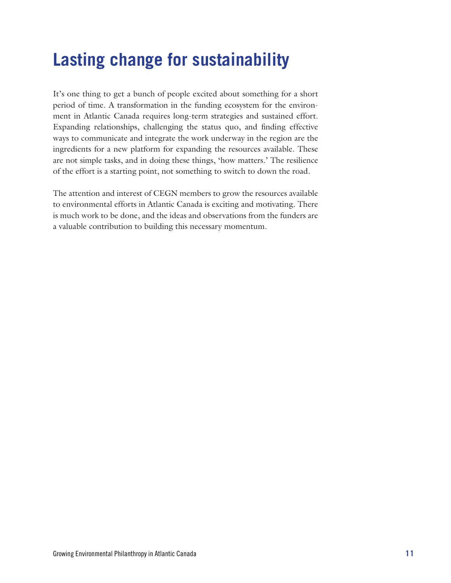# **Lasting change for sustainability**

It's one thing to get a bunch of people excited about something for a short period of time. A transformation in the funding ecosystem for the environment in Atlantic Canada requires long-term strategies and sustained effort. Expanding relationships, challenging the status quo, and finding effective ways to communicate and integrate the work underway in the region are the ingredients for a new platform for expanding the resources available. These are not simple tasks, and in doing these things, 'how matters.' The resilience of the effort is a starting point, not something to switch to down the road.

The attention and interest of CEGN members to grow the resources available to environmental efforts in Atlantic Canada is exciting and motivating. There is much work to be done, and the ideas and observations from the funders are a valuable contribution to building this necessary momentum.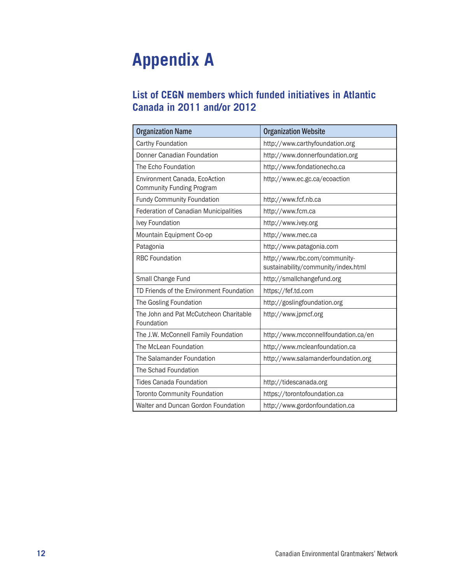# **Appendix A**

#### **List of CEGN members which funded initiatives in Atlantic Canada in 2011 and/or 2012**

| <b>Organization Name</b>                                          | <b>Organization Website</b>                                          |
|-------------------------------------------------------------------|----------------------------------------------------------------------|
| Carthy Foundation                                                 | http://www.carthyfoundation.org                                      |
| Donner Canadian Foundation                                        | http://www.donnerfoundation.org                                      |
| The Echo Foundation                                               | http://www.fondationecho.ca                                          |
| Environment Canada, EcoAction<br><b>Community Funding Program</b> | http://www.ec.gc.ca/ecoaction                                        |
| <b>Fundy Community Foundation</b>                                 | http://www.fcf.nb.ca                                                 |
| Federation of Canadian Municipalities                             | http://www.fcm.ca                                                    |
| Ivey Foundation                                                   | http://www.ivey.org                                                  |
| Mountain Equipment Co-op                                          | http://www.mec.ca                                                    |
| Patagonia                                                         | http://www.patagonia.com                                             |
| <b>RBC Foundation</b>                                             | http://www.rbc.com/community-<br>sustainability/community/index.html |
| Small Change Fund                                                 | http://smallchangefund.org                                           |
| TD Friends of the Environment Foundation                          | https://fef.td.com                                                   |
| The Gosling Foundation                                            | http://goslingfoundation.org                                         |
| The John and Pat McCutcheon Charitable<br>Foundation              | http://www.jpmcf.org                                                 |
| The J.W. McConnell Family Foundation                              | http://www.mcconnellfoundation.ca/en                                 |
| The McLean Foundation                                             | http://www.mcleanfoundation.ca                                       |
| The Salamander Foundation                                         | http://www.salamanderfoundation.org                                  |
| The Schad Foundation                                              |                                                                      |
| <b>Tides Canada Foundation</b>                                    | http://tidescanada.org                                               |
| <b>Toronto Community Foundation</b>                               | https://torontofoundation.ca                                         |
| Walter and Duncan Gordon Foundation                               | http://www.gordonfoundation.ca                                       |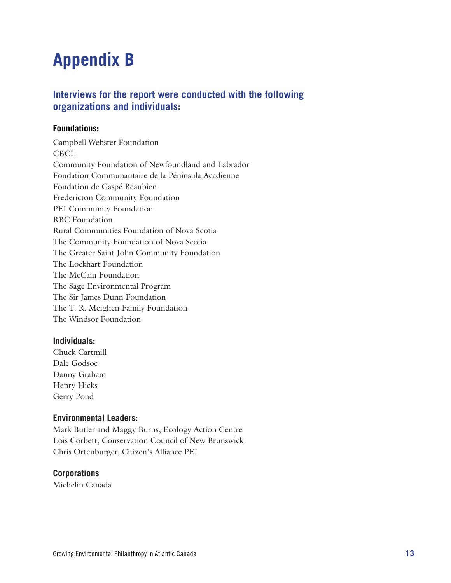### **Appendix B**

#### **Interviews for the report were conducted with the following organizations and individuals:**

#### **Foundations:**

Campbell Webster Foundation CBCL Community Foundation of Newfoundland and Labrador Fondation Communautaire de la Péninsula Acadienne Fondation de Gaspé Beaubien Fredericton Community Foundation PEI Community Foundation RBC Foundation Rural Communities Foundation of Nova Scotia The Community Foundation of Nova Scotia The Greater Saint John Community Foundation The Lockhart Foundation The McCain Foundation The Sage Environmental Program The Sir James Dunn Foundation The T. R. Meighen Family Foundation The Windsor Foundation

#### **Individuals:**

Chuck Cartmill Dale Godsoe Danny Graham Henry Hicks Gerry Pond

#### **Environmental Leaders:**

Mark Butler and Maggy Burns, Ecology Action Centre Lois Corbett, Conservation Council of New Brunswick Chris Ortenburger, Citizen's Alliance PEI

#### **Corporations**

Michelin Canada